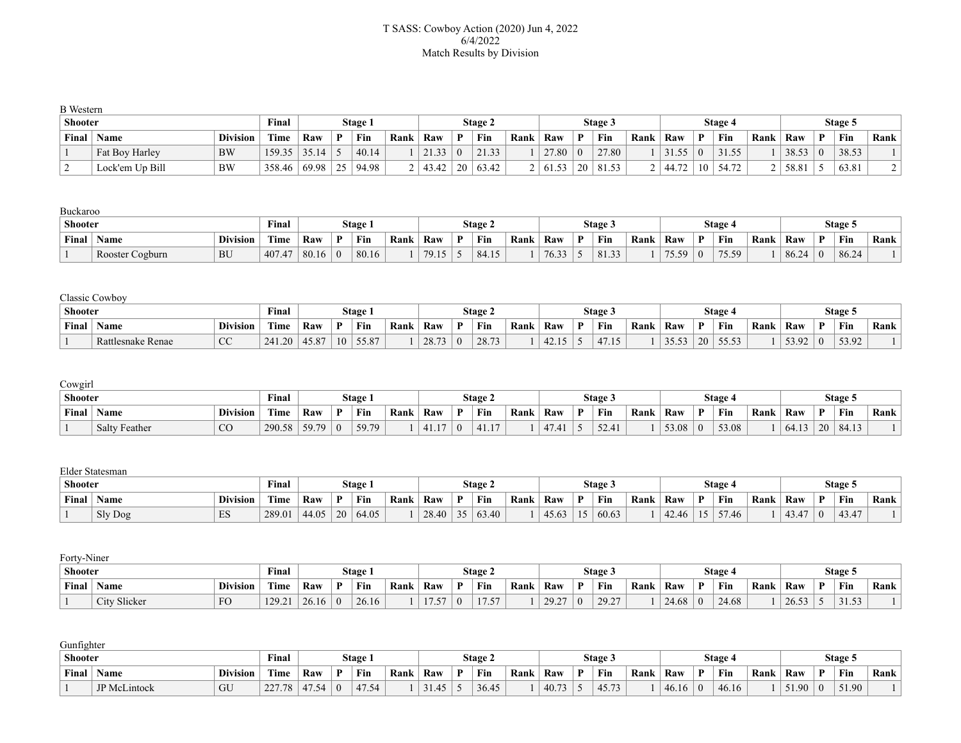### T SASS: Cowboy Action (2020) Jun 4, 2022 6/4/2022 Match Results by Division

| <b>B</b> Western |                 |                 |        |       |    |         |      |       |          |         |      |       |          |         |      |                |    |         |      |       |          |         |      |
|------------------|-----------------|-----------------|--------|-------|----|---------|------|-------|----------|---------|------|-------|----------|---------|------|----------------|----|---------|------|-------|----------|---------|------|
| <b>Shooter</b>   |                 |                 | Final  |       |    | Stage 1 |      |       |          | Stage 2 |      |       |          | Stage 5 |      |                |    | Stage 4 |      |       |          | Stage 5 |      |
| Final            | Name            | <b>Division</b> | Time   | Raw   | D  | Fin     | Rank | Raw   |          | Fin     | Rank | Raw   |          | Fin     | Rank | Raw            | D  | Fin     | Rank | Raw   |          | Fin     | Rank |
|                  | Fat Boy Harley  | <b>BW</b>       | 159.35 | 35.14 |    | 40.14   |      | 21.33 | $\theta$ | 21.33   |      | 27.80 | $\Omega$ | 27.80   |      | $\sim$ 1<br>55 |    | 55.     |      | 38.53 | $\theta$ | 38.53   |      |
|                  | Lock'em Up Bill | <b>BW</b>       | 358.46 | 69.98 | 25 | 94.98   |      | 43.42 | 20       | 63.42   |      | 61.53 | 20       | 81.53   |      | 44.72          | 10 | 54.72   |      | 58.81 |          | 63.81   |      |

#### Buckaroo

|                 | <b>Shooter</b>  |                 |               |       |    | <b>Stage</b> |      |       |   | Stage 2 |      |                  |              | Stage: |      |       |             | Stage 4         |      |      |              | Stage 5 |      |
|-----------------|-----------------|-----------------|---------------|-------|----|--------------|------|-------|---|---------|------|------------------|--------------|--------|------|-------|-------------|-----------------|------|------|--------------|---------|------|
| Final<br>' Name |                 | <b>Division</b> | rane.<br>Time | Raw   | T. | Fin          | Rank | Raw   | D | Fin     | Rank | Raw              | $\mathbf{D}$ | Fin    | Rank | Raw   | D           | Fin             | Rank | Raw  | $\mathbf{D}$ | Fin     | Rank |
|                 | Rooster Cogburn | BU              | 407           | 80.16 |    | 80.16        |      | 70.15 |   | 84.15   |      | 7633<br>. J.J.J. |              | 81.33  |      | 75.59 | $^{\prime}$ | 75.59<br>ر ر. ب |      | 86.2 |              | 86.24   |      |

## Classic Cowboy

| <b>Shooter</b><br>$\mathbf{r}$ |                   |                  | $\mathbf{r}$<br>Final |       |    | Stage |      |       |   | Stage 2 |      |              |              | Stage:         |      |                |              | Stage 4            |      |       |     | Stage 5 |      |
|--------------------------------|-------------------|------------------|-----------------------|-------|----|-------|------|-------|---|---------|------|--------------|--------------|----------------|------|----------------|--------------|--------------------|------|-------|-----|---------|------|
| Final                          | Name              | <b>Division</b>  | Time                  | Raw   | n  | Fin   | Rank | Raw   | D | Fin     | Rank | Raw          | $\mathbf{D}$ | Fin            | Rank | Raw            | $\mathbf{D}$ | Fin                | Rank | Raw   | D   | Fin     | Rank |
|                                | Rattlesnake Renae | $\sim$<br>$\sim$ | 1.20<br>241           | 45.87 | 10 | 55.87 |      | 28.73 |   | 28.73   |      | 12.15<br>42. |              | 17.17<br>41.13 |      | 35.53<br>JJ.JJ | 20           | $- - - -$<br>JJ.JJ |      | 53.92 | - 0 | 53.92   |      |

### Cowgirl

| <b>Shooter</b><br>$\sim$ $\times$ |              |        |      |   | Stage |      |     |              | Stage 2                     |      |     |    | Stage 3           |      |       |   | Stage 4 |      |     |              | Stage 5 |      |
|-----------------------------------|--------------|--------|------|---|-------|------|-----|--------------|-----------------------------|------|-----|----|-------------------|------|-------|---|---------|------|-----|--------------|---------|------|
| Final<br><b>Division</b><br>Name  |              | Time   | Raw  | n | Fin   | Rank | Raw | $\mathbf{D}$ | Fin                         | Rank | Raw | n. | Fin               | Rank | Raw   | D | Fin     | Rank | Raw | $\mathbf{D}$ | Fin     | Rank |
| <b>Salty Feather</b>              | $\sim$<br>◡◡ | 290.58 | 59.7 |   | 59.79 |      |     |              | $A$ <sub>1</sub><br>T 1 . 1 |      | 17  |    | 52.41<br>$J = -1$ |      | 53.08 |   | 53.08   |      | -64 |              | 84.13   |      |

#### Elder Statesman

|       | <b>Shooter</b> |                                               |             |       |    | Stage |      |       |   | Stage 2                                 |      |       |                | Stage 3 |      |                         |              | Stage 4 |      |     |   | Stage 5       |      |
|-------|----------------|-----------------------------------------------|-------------|-------|----|-------|------|-------|---|-----------------------------------------|------|-------|----------------|---------|------|-------------------------|--------------|---------|------|-----|---|---------------|------|
| Final | Name           | <b>Division</b>                               | <b>Time</b> | Raw   | D. | Fin   | Rank | Raw   | n | Fin                                     | Rank | Raw   | $\mathbf{D}$   | Fin     | Rank | Raw                     | $\mathbf{D}$ | Fin     | Rank | Raw | D | Fin           | Rank |
|       | Sly Dog        | $\Gamma$ <sup><math>\alpha</math></sup><br>⊥ມ | 289.01      | 44.05 | 20 | 64.05 |      | 28.40 |   | $\sqrt{2}$<br>$\Lambda$ $\cap$<br>03.40 |      | 45.63 | $\overline{1}$ | 60.63   |      | $\Lambda$<br>.46<br>42. | 15           | 57.46   |      |     |   | 12.17<br>43.4 |      |

# Forty-Niner **Shooter Final Stage 1 Stage 2 Stage 3 Stage 4 Stage 5 Final Name Division Time Raw P Fin Rank Raw P Fin Rank Raw P Fin Rank Raw P Fin Rank Raw P Fin Rank** 1 City Slicker FO 129.21 26.16 0 26.16 1 17.57 0 17.57 1 29.27 0 29.27 1 24.68 0 24.68 1 26.53 5 31.53 1

| Gunfighter     |                     |                 |             |       |          |                         |      |       |              |         |      |       |              |                  |      |       |   |         |      |                 |   |         |      |
|----------------|---------------------|-----------------|-------------|-------|----------|-------------------------|------|-------|--------------|---------|------|-------|--------------|------------------|------|-------|---|---------|------|-----------------|---|---------|------|
| <b>Shooter</b> |                     |                 | Final       |       |          | Stage                   |      |       |              | Stage 2 |      |       |              | Stage 3          |      |       |   | Stage 4 |      |                 |   | Stage 5 |      |
| Final          | <b>Name</b>         | <b>Division</b> | Time        | Raw   |          | Fin                     | Rank | Raw   | $\mathbf{D}$ | Fin     | Rank | Raw   | $\mathbf{D}$ | Fin              | Rank | Raw   | D | Fin     | Rank | Raw             | D | Fin     | Rank |
|                | <b>JP</b> McLintock | GU              | 2277<br>$-$ | 47.54 | $\Omega$ | $\sqrt{2}$<br>54<br>4/7 |      | 31.45 |              | 36.45   |      | 40.73 |              | 45.73<br>TJ. I J |      | 46.16 |   | 46.16   |      | $51.90^{\circ}$ |   | 51.90   |      |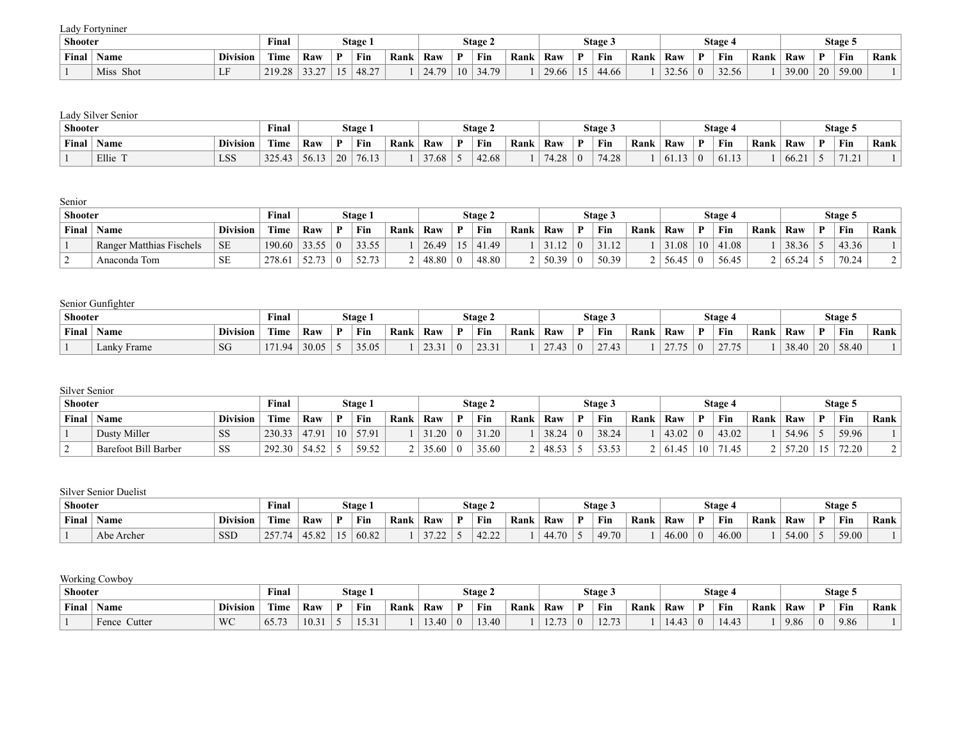Lady Fortyniner

| Shooter |              |                                  | $\mathbf{r}$<br>Final |              |               | Stage |      |                           |    | Stage 2       |      |       |    | Stage 3 |      |                |   | Stage 4            |      |       |              | Stage 5 |      |
|---------|--------------|----------------------------------|-----------------------|--------------|---------------|-------|------|---------------------------|----|---------------|------|-------|----|---------|------|----------------|---|--------------------|------|-------|--------------|---------|------|
| Final   | ` Name       | <b>Division</b>                  | rane.<br>Time         | Raw          |               | Fin   | Rank | Raw                       | D  | Fin           | Rank | Raw   | n. | Fin     | Rank | Raw            | D | Fin                | Rank | Raw   | $\mathbf{D}$ | Fin     | Rank |
|         | Miss<br>Shot | $\mathbf{r}$ $\mathbf{r}$<br>. . | 210.28<br>້⊥          | 22.27<br>--- | $\sim$<br>. J | 48.27 |      | 24.70<br><u>. п</u><br>т. | 10 | 24,70<br>− 1. |      | 29.66 |    | 44.66   |      | 3256<br>ر. ، ر |   | $22 - 56$<br>----- |      | 39.00 |              | 59.00   |      |

### Lady Silver Senior

| Shooter<br>$\sim$ $\times$ |       |                                                      | Final                                            |                      | Stage |     |       |     | Stage 2 |     |                             |     | Stage 3        |     |                    |     | <b>Stage 4</b> |     |       | Stage 5    |  |
|----------------------------|-------|------------------------------------------------------|--------------------------------------------------|----------------------|-------|-----|-------|-----|---------|-----|-----------------------------|-----|----------------|-----|--------------------|-----|----------------|-----|-------|------------|--|
| Final                      | Name  | rane.<br><b>Division</b><br>Raw<br>D.<br><b>Time</b> |                                                  | Fin                  | Rank  | Raw | D     | Fin | Rank    | Raw | D                           | Fin | Rank           | Raw | D                  | Fin | Rank           | Raw | Fin   | Rank       |  |
|                            | Ellie | <b>LSS</b>                                           | 225<br>$\sqrt{2}$<br>д.<br><u>، سەر ب</u><br>− ப | $\sim$ $\sim$<br>1 I | '0.1. |     | 37.68 |     | 42.68   |     | 71,00<br>$\sqrt{2}$<br>∟∠.+ |     | 74.20<br>74.ZO |     | (1, 1, 2)<br>01.13 |     | $\sim$<br>101. |     | 66.21 | 71.01<br>. |  |

## Senior

| Shooter |                          |                 | Final       |       |          | Stage.        |      |       |              | Stage 2 |      |       | Stage 3 |      |       |    | Stage 4 |      |          | Stage 5 |      |
|---------|--------------------------|-----------------|-------------|-------|----------|---------------|------|-------|--------------|---------|------|-------|---------|------|-------|----|---------|------|----------|---------|------|
| Final   | Name                     | <b>Division</b> | <b>Time</b> | Raw   |          | Fin           | Rank | Raw   | $\mathbf{D}$ | Fin     | Rank | Raw   | Fin     | Rank | Raw   | D  | Fin     | Rank | Raw      | Fin     | Rank |
|         | Ranger Matthias Fischels | <b>SE</b>       | 190.60      | 33.55 | $\Omega$ | 33.55         |      | 26.49 | 15           | 41.49   |      | 31.14 | 31.12   |      | 31.08 | 10 | 11.08   |      | 38.36    | 43.36   |      |
|         | Anaconda Tom             | <b>SE</b>       | 278.61      | 52.73 |          | $\sim$ $\sim$ |      | 48.80 |              | 48.80   |      | 50.39 | 50.39   |      | 56.45 |    | 56.45   |      | $+65.21$ | 70.24   |      |

## Senior Gunfighter

| <b>Shooter</b> |              |                 | <b>Final</b>             |       | Stage |      |                                   |              | Stage 2                    |      |            |          | Stage 3         |      |      |              | <b>Stage 4</b> |      |       |    | Stage 5 |      |
|----------------|--------------|-----------------|--------------------------|-------|-------|------|-----------------------------------|--------------|----------------------------|------|------------|----------|-----------------|------|------|--------------|----------------|------|-------|----|---------|------|
|                | Final   Name | <b>Division</b> | Time                     | Raw   | Fin   | Rank | Raw                               | $\mathbf{D}$ | Fin                        | Rank | Raw        | <b>D</b> | Fin             | Rank | Raw  | $\mathbf{D}$ | Fin            | Rank | Raw   | D  | Fin     | Rank |
|                | Lanky Frame  | SG              | $\blacksquare$<br>(1.94) | 30.05 | 35.05 |      | 22.21<br>$\overline{\phantom{a}}$ |              | 22.21<br>$\sim$ 1.<br>23.J |      | 27.42<br>. |          | 27.42<br>$\sim$ |      | 27.7 |              | 27.75          |      | 38.40 | 20 | 58.40   |      |

## Silver Senior

|       | <b>Shooter</b>              |                 |             |                 |    | Stage 1 |      |       |              | Stage 2 |      |       | Stage 3       |      |           |    | Stage 4    |      |       |   | Stage 5 |      |
|-------|-----------------------------|-----------------|-------------|-----------------|----|---------|------|-------|--------------|---------|------|-------|---------------|------|-----------|----|------------|------|-------|---|---------|------|
| Final | <b>Name</b>                 | <b>Division</b> | <b>Time</b> | Raw             | n  | Fin     | Rank | Raw   | $\mathbf{D}$ | Fin     | Rank | Raw   | Fin           | Rank | Raw       | D  | Fin        | Rank | Raw   | D | Fin     | Rank |
|       | Dusty Miller                | <b>SS</b>       | 230.33      | 47.91           | 10 | 57.91   |      | 31.20 |              | 31.20   |      | 38.24 | 38.24         |      | 43.02     |    | 43.02      |      | 54.96 |   | 59.96   |      |
|       | <b>Barefoot Bill Barber</b> | SS              | 292.30      | 54.52<br>ے ر…+ر |    | 59.52   |      | 35.60 |              | 35.60   |      | 48.57 | 5352<br>JJ.JJ |      | 45<br>01. | 10 | $\sqrt{5}$ |      | .20   |   | 72.20   |      |

# Silver Senior Duelist

| Shooter<br>$\mathbf{r}$ |            |                 | $\mathbf{r}$<br>Final |               | Stage |      |     |              | Stage 2      |      |       |    | Stage 3 |      |       |   | Stage 4 |      |       |              | Stage 5 |      |
|-------------------------|------------|-----------------|-----------------------|---------------|-------|------|-----|--------------|--------------|------|-------|----|---------|------|-------|---|---------|------|-------|--------------|---------|------|
| Final                   | Name       | <b>Division</b> | rane.<br>Time         | Raw           | Fin   | Rank | Raw | $\mathbf{D}$ | Fin          | Rank | Raw   | n. | Fin     | Rank | Raw   | D | Fin     | Rank | Raw   | $\mathbf{D}$ | Fin     | Rank |
|                         | Abe Archer | <b>SSD</b>      | 2577<br>رے            | 1502<br>79.OZ | 60.82 |      | ے گ |              | 12.22<br>™∸⊶ |      | 44.70 |    | 49.70   |      | 46.00 |   | 46.00   |      | 54.00 |              | 59.00   |      |

## Working Cowboy

| <b>Shooter</b> |                 |                 | $\mathbf{m}$<br>Final | Stage |  |                                 |      | Stage 2 |   |       |      | Stage.                  |          |               |      | <b>Stage 4</b> |              |            |      | Stage 5 |          |      |      |
|----------------|-----------------|-----------------|-----------------------|-------|--|---------------------------------|------|---------|---|-------|------|-------------------------|----------|---------------|------|----------------|--------------|------------|------|---------|----------|------|------|
|                | Final   Name    | <b>Division</b> | Time                  | Raw   |  | Fin                             | Rank | Raw     | D | Fin   | Rank | Raw                     | <b>D</b> | Fin           | Rank | Raw            | $\mathbf{D}$ | Fin        | Rank | Raw     | D        | Fin  | Rank |
|                | Cutter<br>Fence | WC              | $65.7^{\circ}$        | 10.31 |  | $\sqrt{2}$ $\sqrt{1}$<br>1 J .J |      | .40     |   | 13.40 |      | 10.72<br>$\overline{ }$ |          | 1272<br>12.13 |      | 14.            |              | $\sqrt{4}$ |      | 9.86    | $\Omega$ | 9.86 |      |